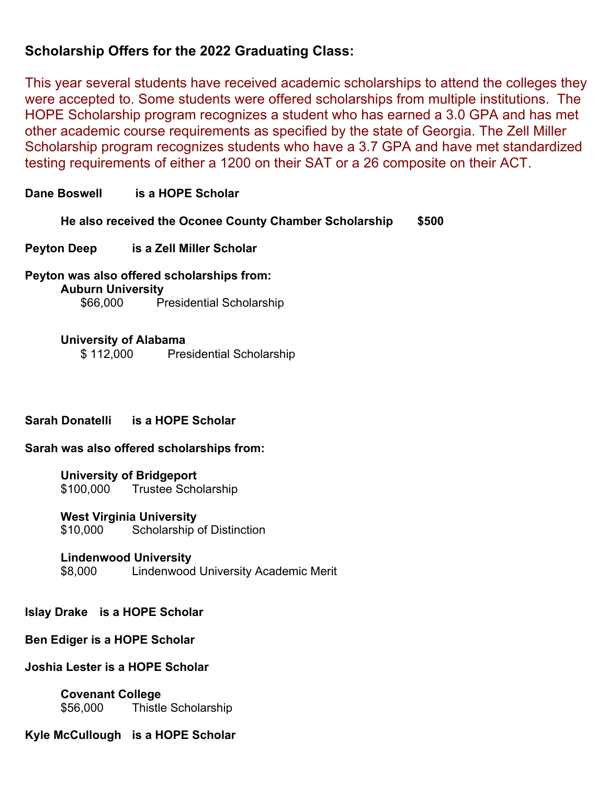# **Scholarship Offers for the 2022 Graduating Class:**

This year several students have received academic scholarships to attend the colleges they were accepted to. Some students were offered scholarships from multiple institutions. The HOPE Scholarship program recognizes a student who has earned a 3.0 GPA and has met other academic course requirements as specified by the state of Georgia. The Zell Miller Scholarship program recognizes students who have a 3.7 GPA and have met standardized testing requirements of either a 1200 on their SAT or a 26 composite on their ACT.

# **Dane Boswell is a HOPE Scholar**

**He also received the Oconee County Chamber Scholarship \$500**

#### **Peyton Deep is a Zell Miller Scholar**

**Peyton was also offered scholarships from: Auburn University** \$66,000 Presidential Scholarship

#### **University of Alabama**

\$ 112,000 Presidential Scholarship

# **Sarah Donatelli is a HOPE Scholar**

#### **Sarah was also offered scholarships from:**

# **University of Bridgeport**

\$100,000 Trustee Scholarship

#### **West Virginia University**

\$10,000 Scholarship of Distinction

#### **Lindenwood University**

\$8,000 Lindenwood University Academic Merit

#### **Islay Drake is a HOPE Scholar**

### **Ben Ediger is a HOPE Scholar**

#### **Joshia Lester is a HOPE Scholar**

**Covenant College** \$56,000 Thistle Scholarship

#### **Kyle McCullough is a HOPE Scholar**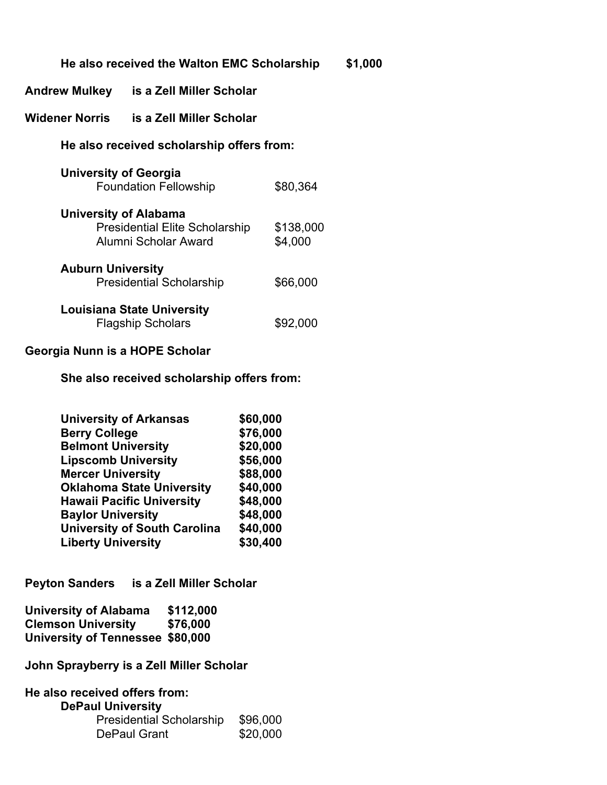|                                                                                        | He also received the Walton EMC Scholarship            |                      |  |  |
|----------------------------------------------------------------------------------------|--------------------------------------------------------|----------------------|--|--|
| Andrew Mulkey                                                                          | is a Zell Miller Scholar                               |                      |  |  |
| Widener Norris                                                                         | is a Zell Miller Scholar                               |                      |  |  |
| He also received scholarship offers from:                                              |                                                        |                      |  |  |
| <b>University of Georgia</b>                                                           | <b>Foundation Fellowship</b>                           | \$80,364             |  |  |
| University of Alabama<br><b>Presidential Elite Scholarship</b><br>Alumni Scholar Award |                                                        | \$138,000<br>\$4,000 |  |  |
| <b>Auburn University</b><br><b>Presidential Scholarship</b>                            |                                                        | \$66,000             |  |  |
|                                                                                        | Louisiana State University<br><b>Flagship Scholars</b> | \$92,000             |  |  |
|                                                                                        |                                                        |                      |  |  |

\$1,000

# **Georgia Nunn is a HOPE Scholar**

**She also received scholarship offers from:**

| <b>University of Arkansas</b>       | \$60,000 |
|-------------------------------------|----------|
| <b>Berry College</b>                | \$76,000 |
| <b>Belmont University</b>           | \$20,000 |
| <b>Lipscomb University</b>          | \$56,000 |
| <b>Mercer University</b>            | \$88,000 |
| <b>Oklahoma State University</b>    | \$40,000 |
| <b>Hawaii Pacific University</b>    | \$48,000 |
| <b>Baylor University</b>            | \$48,000 |
| <b>University of South Carolina</b> | \$40,000 |
| <b>Liberty University</b>           | \$30,400 |

**Peyton Sanders is a Zell Miller Scholar**

| <b>University of Alabama</b>     | \$112,000 |
|----------------------------------|-----------|
| <b>Clemson University</b>        | \$76,000  |
| University of Tennessee \$80,000 |           |

**John Sprayberry is a Zell Miller Scholar**

| He also received offers from:   |          |  |  |
|---------------------------------|----------|--|--|
| <b>DePaul University</b>        |          |  |  |
| <b>Presidential Scholarship</b> | \$96,000 |  |  |
| <b>DePaul Grant</b>             | \$20,000 |  |  |